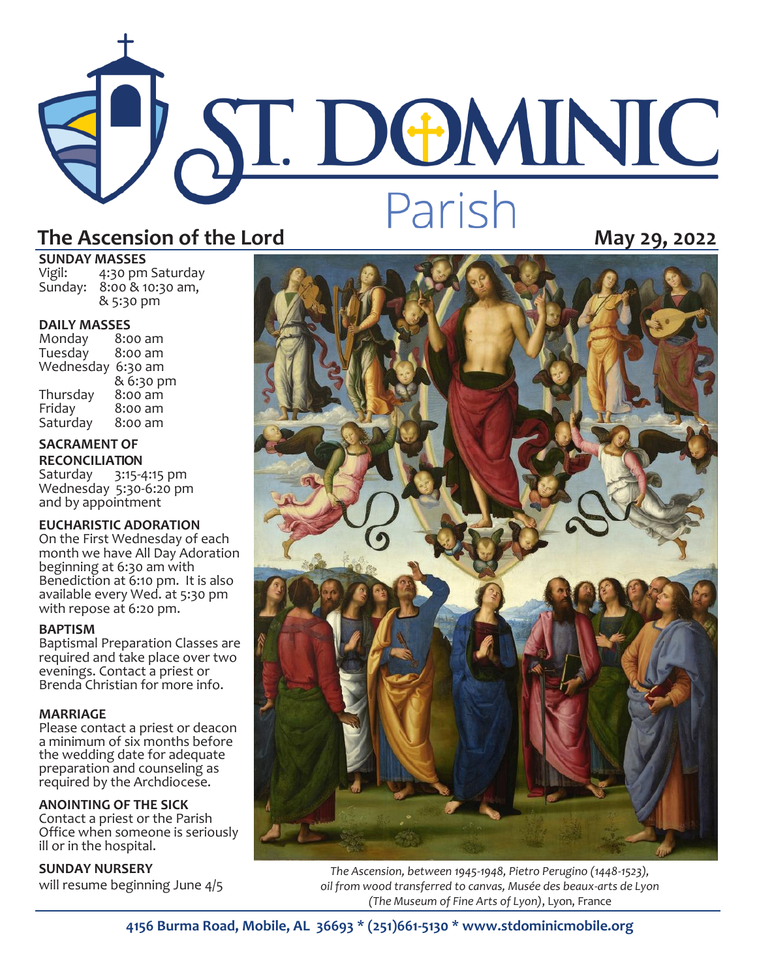# The Ascension of the Lord **Partish**

# **SUNDAY MASSES**<br>Vigil: 4:30 pm

4:30 pm Saturday Sunday: 8:00 & 10:30 am, & 5:30 pm

**DAILY MASSES**  Monday 8:00 am Tuesday Wednesday 6:30 am & 6:30 pm<br>8:00 am Thursday<br>Friday  $8:00$  am<br> $8:00$  am Saturday

### **SACRAMENT OF RECONCILIATION**

Saturday 3:15-4:15 pm Wednesday 5:30-6:20 pm and by appointment

### **EUCHARISTIC ADORATION**

On the First Wednesday of each month we have All Day Adoration beginning at 6:30 am with Benediction at 6:10 pm. It is also available every Wed. at 5:30 pm with repose at 6:20 pm.

### **BAPTISM**

Baptismal Preparation Classes are required and take place over two evenings. Contact a priest or Brenda Christian for more info.

### **MARRIAGE**

Please contact a priest or deacon a minimum of six months before the wedding date for adequate preparation and counseling as required by the Archdiocese.

### **ANOINTING OF THE SICK**

Contact a priest or the Parish Office when someone is seriously ill or in the hospital.

### **SUNDAY NURSERY**

will resume beginning June 4/5



*The Ascension, between 1945-1948, Pietro Perugino (1448-1523), oil from wood transferred to canvas, Musée des beaux-arts de Lyon (The Museum of Fine Arts of Lyon)*, Lyon, France

**4156 Burma Road, Mobile, AL 36693 \* (251)661-5130 \* www.stdominicmobile.org**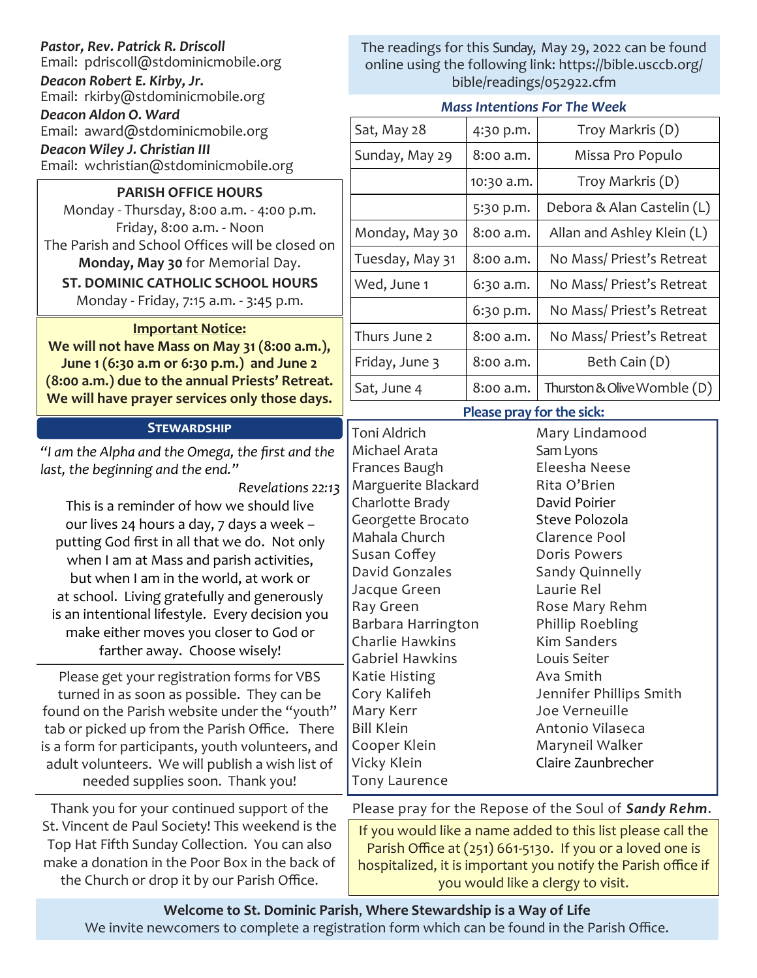### *Pastor, Rev. Patrick R. Driscoll*

Email: pdriscoll@stdominicmobile.org

*Deacon Robert E. Kirby, Jr.*

Email: rkirby@stdominicmobile.org *Deacon Aldon O. Ward*

Email: award@stdominicmobile.org

*Deacon Wiley J. Christian III*

Email: wchristian@stdominicmobile.org

### **PARISH OFFICE HOURS**

Monday - Thursday, 8:00 a.m. - 4:00 p.m. Friday, 8:00 a.m. - Noon The Parish and School Offices will be closed on **Monday, May 30** for Memorial Day.

**ST. DOMINIC CATHOLIC SCHOOL HOURS** 

Monday - Friday, 7:15 a.m. - 3:45 p.m.

### **Important Notice:**

**We will not have Mass on May 31 (8:00 a.m.), June 1 (6:30 a.m or 6:30 p.m.) and June 2 (8:00 a.m.) due to the annual Priests' Retreat. We will have prayer services only those days.** 

### **Stewardship**

*"I am the Alpha and the Omega, the first and the last, the beginning and the end."*

*Revelations 22:13* This is a reminder of how we should live our lives 24 hours a day, 7 days a week – putting God first in all that we do. Not only when I am at Mass and parish activities, but when I am in the world, at work or at school. Living gratefully and generously is an intentional lifestyle. Every decision you make either moves you closer to God or farther away. Choose wisely!

Please get your registration forms for VBS turned in as soon as possible. They can be found on the Parish website under the "youth" tab or picked up from the Parish Office. There is a form for participants, youth volunteers, and adult volunteers. We will publish a wish list of needed supplies soon. Thank you!

Thank you for your continued support of the St. Vincent de Paul Society! This weekend is the Top Hat Fifth Sunday Collection. You can also make a donation in the Poor Box in the back of the Church or drop it by our Parish Office.

### The readings for this Sunday, May 29, 2022 can be found online using the following link: https://bible.usccb.org/ bible/readings/052922.cfm

### *Mass Intentions For The Week*

| Sat, May 28     | 4:30 p.m.  | Troy Markris (D)            |
|-----------------|------------|-----------------------------|
| Sunday, May 29  | 8:00 a.m.  | Missa Pro Populo            |
|                 | 10:30 a.m. | Troy Markris (D)            |
|                 | 5:30 p.m.  | Debora & Alan Castelin (L)  |
| Monday, May 30  | 8:00 a.m.  | Allan and Ashley Klein (L)  |
| Tuesday, May 31 | 8:00 a.m.  | No Mass/ Priest's Retreat   |
| Wed, June 1     | 6:30 a.m.  | No Mass/ Priest's Retreat   |
|                 | 6:30 p.m.  | No Mass/ Priest's Retreat   |
| Thurs June 2    | 8:00 a.m.  | No Mass/Priest's Retreat    |
| Friday, June 3  | 8:00 a.m.  | Beth Cain (D)               |
| Sat, June 4     | 8:00 a.m.  | Thurston & Olive Womble (D) |

### **Please pray for the sick:**

Toni Aldrich Michael Arata Frances Baugh Marguerite Blackard Charlotte Brady Georgette Brocato Mahala Church Susan Coffey David Gonzales Jacque Green Ray Green Barbara Harrington Charlie Hawkins Gabriel Hawkins Katie Histing Cory Kalifeh Mary Kerr Bill Klein Cooper Klein Vicky Klein Tony Laurence

Mary Lindamood Sam Lyons Eleesha Neese Rita O'Brien David Poirier Steve Polozola Clarence Pool Doris Powers Sandy Quinnelly Laurie Rel Rose Mary Rehm Phillip Roebling Kim Sanders Louis Seiter Ava Smith Jennifer Phillips Smith Joe Verneuille Antonio Vilaseca Maryneil Walker Claire Zaunbrecher

Please pray for the Repose of the Soul of *Sandy Rehm*.

If you would like a name added to this list please call the Parish Office at (251) 661-5130. If you or a loved one is hospitalized, it is important you notify the Parish office if you would like a clergy to visit.

# **Welcome to St. Dominic Parish**, **Where Stewardship is a Way of Life**

We invite newcomers to complete a registration form which can be found in the Parish Office.